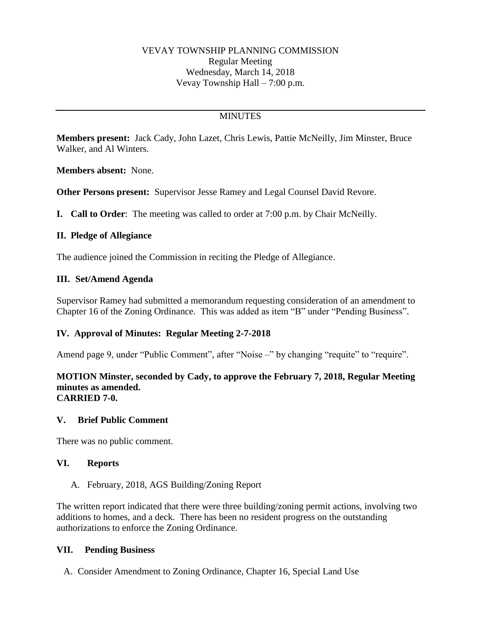# **MINUTES**

**Members present:** Jack Cady, John Lazet, Chris Lewis, Pattie McNeilly, Jim Minster, Bruce Walker, and Al Winters.

**Members absent:** None.

**Other Persons present:** Supervisor Jesse Ramey and Legal Counsel David Revore.

**I. Call to Order**: The meeting was called to order at 7:00 p.m. by Chair McNeilly.

#### **II. Pledge of Allegiance**

The audience joined the Commission in reciting the Pledge of Allegiance.

#### **III. Set/Amend Agenda**

Supervisor Ramey had submitted a memorandum requesting consideration of an amendment to Chapter 16 of the Zoning Ordinance. This was added as item "B" under "Pending Business".

## **IV. Approval of Minutes: Regular Meeting 2-7-2018**

Amend page 9, under "Public Comment", after "Noise –" by changing "requite" to "require".

#### **MOTION Minster, seconded by Cady, to approve the February 7, 2018, Regular Meeting minutes as amended. CARRIED 7-0.**

#### **V. Brief Public Comment**

There was no public comment.

#### **VI. Reports**

A. February, 2018, AGS Building/Zoning Report

The written report indicated that there were three building/zoning permit actions, involving two additions to homes, and a deck. There has been no resident progress on the outstanding authorizations to enforce the Zoning Ordinance.

#### **VII. Pending Business**

A. Consider Amendment to Zoning Ordinance, Chapter 16, Special Land Use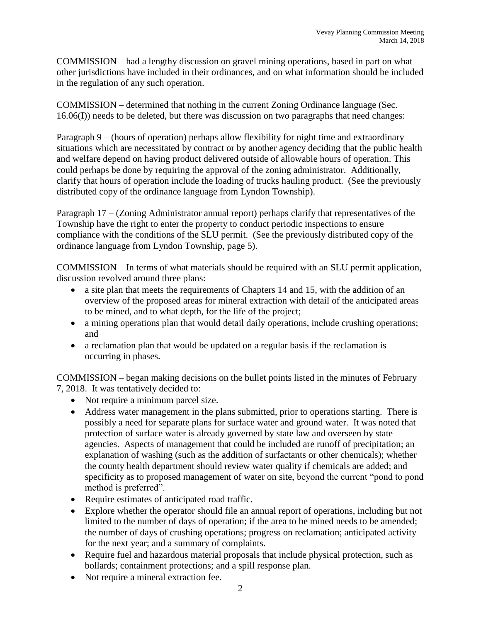COMMISSION – had a lengthy discussion on gravel mining operations, based in part on what other jurisdictions have included in their ordinances, and on what information should be included in the regulation of any such operation.

COMMISSION – determined that nothing in the current Zoning Ordinance language (Sec. 16.06(I)) needs to be deleted, but there was discussion on two paragraphs that need changes:

Paragraph 9 – (hours of operation) perhaps allow flexibility for night time and extraordinary situations which are necessitated by contract or by another agency deciding that the public health and welfare depend on having product delivered outside of allowable hours of operation. This could perhaps be done by requiring the approval of the zoning administrator. Additionally, clarify that hours of operation include the loading of trucks hauling product. (See the previously distributed copy of the ordinance language from Lyndon Township).

Paragraph 17 – (Zoning Administrator annual report) perhaps clarify that representatives of the Township have the right to enter the property to conduct periodic inspections to ensure compliance with the conditions of the SLU permit. (See the previously distributed copy of the ordinance language from Lyndon Township, page 5).

COMMISSION – In terms of what materials should be required with an SLU permit application, discussion revolved around three plans:

- a site plan that meets the requirements of Chapters 14 and 15, with the addition of an overview of the proposed areas for mineral extraction with detail of the anticipated areas to be mined, and to what depth, for the life of the project;
- a mining operations plan that would detail daily operations, include crushing operations; and
- a reclamation plan that would be updated on a regular basis if the reclamation is occurring in phases.

COMMISSION – began making decisions on the bullet points listed in the minutes of February 7, 2018. It was tentatively decided to:

- Not require a minimum parcel size.
- Address water management in the plans submitted, prior to operations starting. There is possibly a need for separate plans for surface water and ground water. It was noted that protection of surface water is already governed by state law and overseen by state agencies. Aspects of management that could be included are runoff of precipitation; an explanation of washing (such as the addition of surfactants or other chemicals); whether the county health department should review water quality if chemicals are added; and specificity as to proposed management of water on site, beyond the current "pond to pond method is preferred".
- Require estimates of anticipated road traffic.
- Explore whether the operator should file an annual report of operations, including but not limited to the number of days of operation; if the area to be mined needs to be amended; the number of days of crushing operations; progress on reclamation; anticipated activity for the next year; and a summary of complaints.
- Require fuel and hazardous material proposals that include physical protection, such as bollards; containment protections; and a spill response plan.
- Not require a mineral extraction fee.